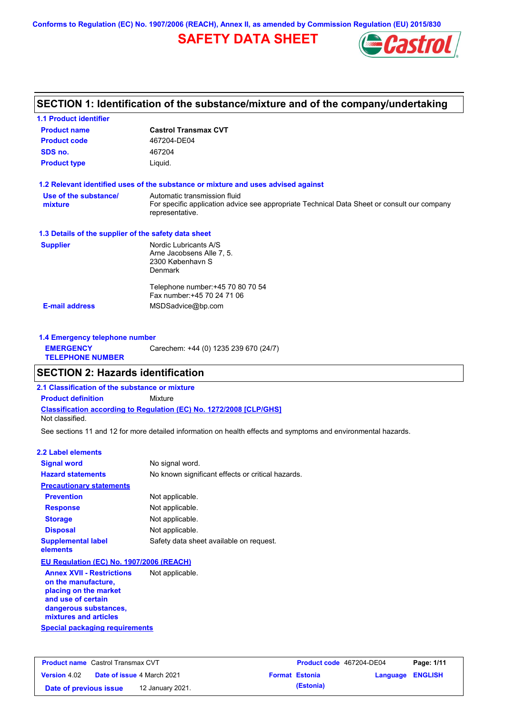**Conforms to Regulation (EC) No. 1907/2006 (REACH), Annex II, as amended by Commission Regulation (EU) 2015/830**

# **SAFETY DATA SHEET**



## **SECTION 1: Identification of the substance/mixture and of the company/undertaking**

| <b>Product name</b>                                  | <b>Castrol Transmax CVT</b>                                                                                                                    |
|------------------------------------------------------|------------------------------------------------------------------------------------------------------------------------------------------------|
| <b>Product code</b>                                  | 467204-DE04                                                                                                                                    |
| SDS no.                                              | 467204                                                                                                                                         |
| <b>Product type</b>                                  | Liquid.                                                                                                                                        |
|                                                      | 1.2 Relevant identified uses of the substance or mixture and uses advised against                                                              |
| Use of the substance/<br>mixture                     | Automatic transmission fluid<br>For specific application advice see appropriate Technical Data Sheet or consult our company<br>representative. |
| 1.3 Details of the supplier of the safety data sheet |                                                                                                                                                |
| <b>Supplier</b>                                      | Nordic Lubricants A/S<br>Arne Jacobsens Alle 7, 5.<br>2300 København S<br><b>Denmark</b>                                                       |
|                                                      | Telephone number: +45 70 80 70 54<br>Fax number: +45 70 24 71 06                                                                               |
| <b>E-mail address</b>                                | MSDSadvice@bp.com                                                                                                                              |

| 1.4 Emergency telephone number              |                                       |
|---------------------------------------------|---------------------------------------|
| <b>EMERGENCY</b><br><b>TELEPHONE NUMBER</b> | Carechem: +44 (0) 1235 239 670 (24/7) |

### **SECTION 2: Hazards identification**

**2.1 Classification of the substance or mixture**

**Classification according to Regulation (EC) No. 1272/2008 [CLP/GHS] Product definition** Mixture

Not classified.

See sections 11 and 12 for more detailed information on health effects and symptoms and environmental hazards.

#### **2.2 Label elements**

| <b>Signal word</b>                                      | No signal word.                                   |
|---------------------------------------------------------|---------------------------------------------------|
| <b>Hazard statements</b>                                | No known significant effects or critical hazards. |
| <b>Precautionary statements</b>                         |                                                   |
| <b>Prevention</b>                                       | Not applicable.                                   |
| <b>Response</b>                                         | Not applicable.                                   |
| <b>Storage</b>                                          | Not applicable.                                   |
| <b>Disposal</b>                                         | Not applicable.                                   |
| <b>Supplemental label</b><br>elements                   | Safety data sheet available on request.           |
| EU Regulation (EC) No. 1907/2006 (REACH)                |                                                   |
| <b>Annex XVII - Restrictions</b><br>on the manufacture, | Not applicable.                                   |

**Special packaging requirements placing on the market and use of certain dangerous substances, mixtures and articles**

| <b>Product name</b> Castrol Transmax CVT |  | <b>Product code</b> 467204-DE04   |  | Page: 1/11            |                         |  |
|------------------------------------------|--|-----------------------------------|--|-----------------------|-------------------------|--|
| <b>Version</b> 4.02                      |  | <b>Date of issue 4 March 2021</b> |  | <b>Format Estonia</b> | <b>Language ENGLISH</b> |  |
| Date of previous issue                   |  | 12 January 2021.                  |  | (Estonia)             |                         |  |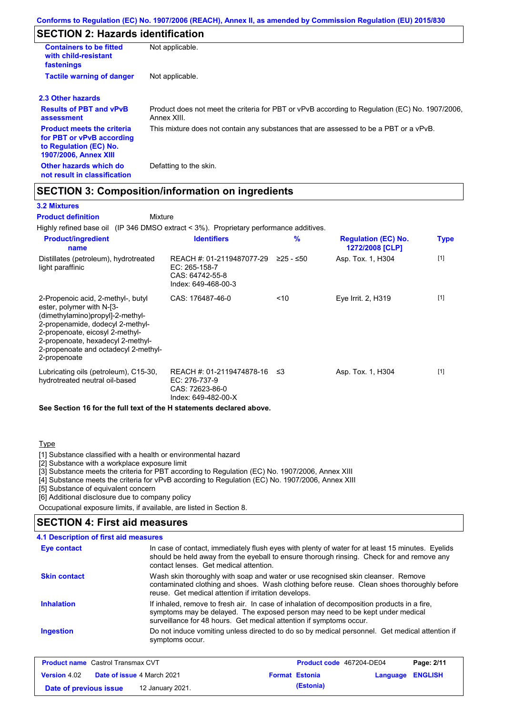## **SECTION 2: Hazards identification**

| <b>Containers to be fitted</b><br>with child-resistant<br>fastenings                                                     | Not applicable.                                                                                               |
|--------------------------------------------------------------------------------------------------------------------------|---------------------------------------------------------------------------------------------------------------|
| <b>Tactile warning of danger</b>                                                                                         | Not applicable.                                                                                               |
| 2.3 Other hazards                                                                                                        |                                                                                                               |
| <b>Results of PBT and vPvB</b><br>assessment                                                                             | Product does not meet the criteria for PBT or vPvB according to Regulation (EC) No. 1907/2006,<br>Annex XIII. |
| <b>Product meets the criteria</b><br>for PBT or vPvB according<br>to Regulation (EC) No.<br><b>1907/2006, Annex XIII</b> | This mixture does not contain any substances that are assessed to be a PBT or a vPvB.                         |
| Other hazards which do<br>not result in classification                                                                   | Defatting to the skin.                                                                                        |

## **SECTION 3: Composition/information on ingredients**

Mixture

### **3.2 Mixtures**

**Product definition**

Highly refined base oil (IP 346 DMSO extract < 3%). Proprietary performance additives.

| <b>Product/ingredient</b><br>name                                                                                                                                                                                                                                       | <b>Identifiers</b>                                                                   | $\%$        | <b>Regulation (EC) No.</b><br>1272/2008 [CLP] | <b>Type</b> |
|-------------------------------------------------------------------------------------------------------------------------------------------------------------------------------------------------------------------------------------------------------------------------|--------------------------------------------------------------------------------------|-------------|-----------------------------------------------|-------------|
| Distillates (petroleum), hydrotreated<br>light paraffinic                                                                                                                                                                                                               | REACH #: 01-2119487077-29<br>EC: 265-158-7<br>CAS: 64742-55-8<br>Index: 649-468-00-3 | $≥25 - ≤50$ | Asp. Tox. 1, H304                             | $[1]$       |
| 2-Propenoic acid, 2-methyl-, butyl<br>ester, polymer with N-[3-<br>(dimethylamino)propyl]-2-methyl-<br>2-propenamide, dodecyl 2-methyl-<br>2-propenoate, eicosyl 2-methyl-<br>2-propenoate, hexadecyl 2-methyl-<br>2-propenoate and octadecyl 2-methyl-<br>2-propenoate | CAS: 176487-46-0                                                                     | < 10        | Eye Irrit. 2, H319                            | $[1]$       |
| Lubricating oils (petroleum), C15-30,<br>hydrotreated neutral oil-based                                                                                                                                                                                                 | REACH #: 01-2119474878-16<br>EC: 276-737-9<br>CAS: 72623-86-0<br>Index: 649-482-00-X | -≤3         | Asp. Tox. 1, H304                             | $[1]$       |

**See Section 16 for the full text of the H statements declared above.**

### **Type**

[1] Substance classified with a health or environmental hazard

[2] Substance with a workplace exposure limit

[3] Substance meets the criteria for PBT according to Regulation (EC) No. 1907/2006, Annex XIII

[4] Substance meets the criteria for vPvB according to Regulation (EC) No. 1907/2006, Annex XIII

[5] Substance of equivalent concern

[6] Additional disclosure due to company policy

Occupational exposure limits, if available, are listed in Section 8.

### **SECTION 4: First aid measures**

| Eye contact         | In case of contact, immediately flush eyes with plenty of water for at least 15 minutes. Eyelids<br>should be held away from the eyeball to ensure thorough rinsing. Check for and remove any<br>contact lenses. Get medical attention.             |
|---------------------|-----------------------------------------------------------------------------------------------------------------------------------------------------------------------------------------------------------------------------------------------------|
| <b>Skin contact</b> | Wash skin thoroughly with soap and water or use recognised skin cleanser. Remove<br>contaminated clothing and shoes. Wash clothing before reuse. Clean shoes thoroughly before<br>reuse. Get medical attention if irritation develops.              |
| <b>Inhalation</b>   | If inhaled, remove to fresh air. In case of inhalation of decomposition products in a fire,<br>symptoms may be delayed. The exposed person may need to be kept under medical<br>surveillance for 48 hours. Get medical attention if symptoms occur. |
| <b>Ingestion</b>    | Do not induce vomiting unless directed to do so by medical personnel. Get medical attention if<br>symptoms occur.                                                                                                                                   |

| <b>Product name</b> Castrol Transmax CVT |  |                                   | <b>Product code</b> 467204-DE04 |                       | Page: 2/11              |  |
|------------------------------------------|--|-----------------------------------|---------------------------------|-----------------------|-------------------------|--|
| <b>Version 4.02</b>                      |  | <b>Date of issue 4 March 2021</b> |                                 | <b>Format Estonia</b> | <b>Language ENGLISH</b> |  |
| Date of previous issue                   |  | 12 January 2021.                  |                                 | (Estonia)             |                         |  |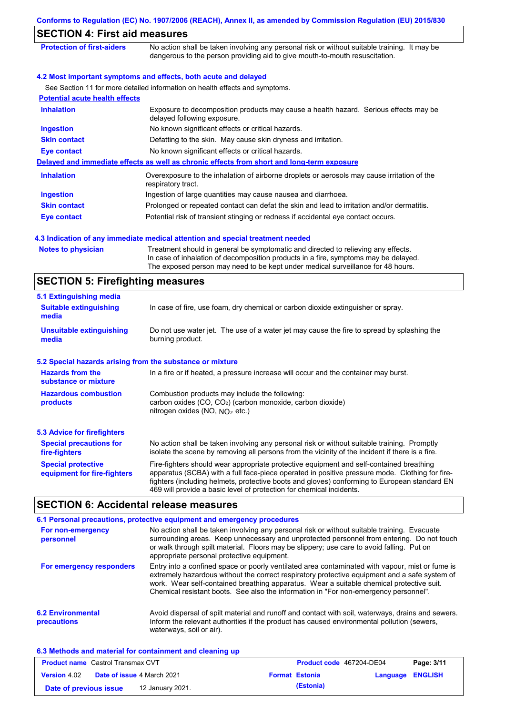| <b>SECTION 4: First aid measures</b>                     |                                                                                                                                                                                                                                                             |
|----------------------------------------------------------|-------------------------------------------------------------------------------------------------------------------------------------------------------------------------------------------------------------------------------------------------------------|
| <b>Protection of first-aiders</b>                        | No action shall be taken involving any personal risk or without suitable training. It may be<br>dangerous to the person providing aid to give mouth-to-mouth resuscitation.                                                                                 |
|                                                          | 4.2 Most important symptoms and effects, both acute and delayed                                                                                                                                                                                             |
|                                                          | See Section 11 for more detailed information on health effects and symptoms.                                                                                                                                                                                |
| <b>Potential acute health effects</b>                    |                                                                                                                                                                                                                                                             |
| <b>Inhalation</b>                                        | Exposure to decomposition products may cause a health hazard. Serious effects may be<br>delayed following exposure.                                                                                                                                         |
| <b>Ingestion</b>                                         | No known significant effects or critical hazards.                                                                                                                                                                                                           |
| <b>Skin contact</b>                                      | Defatting to the skin. May cause skin dryness and irritation.                                                                                                                                                                                               |
| <b>Eye contact</b>                                       | No known significant effects or critical hazards.                                                                                                                                                                                                           |
|                                                          | Delayed and immediate effects as well as chronic effects from short and long-term exposure                                                                                                                                                                  |
| <b>Inhalation</b>                                        | Overexposure to the inhalation of airborne droplets or aerosols may cause irritation of the<br>respiratory tract.                                                                                                                                           |
| <b>Ingestion</b>                                         | Ingestion of large quantities may cause nausea and diarrhoea.                                                                                                                                                                                               |
| <b>Skin contact</b>                                      | Prolonged or repeated contact can defat the skin and lead to irritation and/or dermatitis.                                                                                                                                                                  |
| Eye contact                                              | Potential risk of transient stinging or redness if accidental eye contact occurs.                                                                                                                                                                           |
| <b>Notes to physician</b>                                | Treatment should in general be symptomatic and directed to relieving any effects.<br>In case of inhalation of decomposition products in a fire, symptoms may be delayed.<br>The exposed person may need to be kept under medical surveillance for 48 hours. |
| <b>SECTION 5: Firefighting measures</b>                  |                                                                                                                                                                                                                                                             |
| 5.1 Extinguishing media                                  |                                                                                                                                                                                                                                                             |
| <b>Suitable extinguishing</b><br>media                   | In case of fire, use foam, dry chemical or carbon dioxide extinguisher or spray.                                                                                                                                                                            |
| <b>Unsuitable extinguishing</b><br>media                 | Do not use water jet. The use of a water jet may cause the fire to spread by splashing the<br>burning product.                                                                                                                                              |
|                                                          | 5.2 Special hazards arising from the substance or mixture                                                                                                                                                                                                   |
| <b>Hazards from the</b><br>substance or mixture          | In a fire or if heated, a pressure increase will occur and the container may burst.                                                                                                                                                                         |
| <b>Hazardous combustion</b><br>products                  | Combustion products may include the following:<br>carbon oxides (CO, CO <sub>2</sub> ) (carbon monoxide, carbon dioxide)<br>nitrogen oxides (NO, $NO2$ etc.)                                                                                                |
| <b>5.3 Advice for firefighters</b>                       |                                                                                                                                                                                                                                                             |
| <b>Special precautions for</b><br>fire-fighters          | No action shall be taken involving any personal risk or without suitable training. Promptly<br>isolate the scene by removing all persons from the vicinity of the incident if there is a fire.                                                              |
| <b>Special protective</b><br>equipment for fire-fighters | Fire-fighters should wear appropriate protective equipment and self-contained breathing<br>apparatus (SCBA) with a full face-piece operated in positive pressure mode. Clothing for fire-                                                                   |

## **SECTION 6: Accidental release measures**

|                                         | 6.1 Personal precautions, protective equipment and emergency procedures                                                                                                                                                                                                                                                                                                              |
|-----------------------------------------|--------------------------------------------------------------------------------------------------------------------------------------------------------------------------------------------------------------------------------------------------------------------------------------------------------------------------------------------------------------------------------------|
| For non-emergency<br>personnel          | No action shall be taken involving any personal risk or without suitable training. Evacuate<br>surrounding areas. Keep unnecessary and unprotected personnel from entering. Do not touch<br>or walk through spilt material. Floors may be slippery; use care to avoid falling. Put on<br>appropriate personal protective equipment.                                                  |
| For emergency responders                | Entry into a confined space or poorly ventilated area contaminated with vapour, mist or fume is<br>extremely hazardous without the correct respiratory protective equipment and a safe system of<br>work. Wear self-contained breathing apparatus. Wear a suitable chemical protective suit.<br>Chemical resistant boots. See also the information in "For non-emergency personnel". |
| <b>6.2 Environmental</b><br>precautions | Avoid dispersal of spilt material and runoff and contact with soil, waterways, drains and sewers.<br>Inform the relevant authorities if the product has caused environmental pollution (sewers,<br>waterways, soil or air).                                                                                                                                                          |

469 will provide a basic level of protection for chemical incidents.

fighters (including helmets, protective boots and gloves) conforming to European standard EN

### **6.3 Methods and material for containment and cleaning up**

| <b>Product name</b> Castrol Transmax CVT |                                   | Product code 467204-DE04 |  | Page: 3/11            |                         |  |
|------------------------------------------|-----------------------------------|--------------------------|--|-----------------------|-------------------------|--|
| <b>Version</b> 4.02                      | <b>Date of issue 4 March 2021</b> |                          |  | <b>Format Estonia</b> | <b>Language ENGLISH</b> |  |
| Date of previous issue                   |                                   | 12 January 2021.         |  | (Estonia)             |                         |  |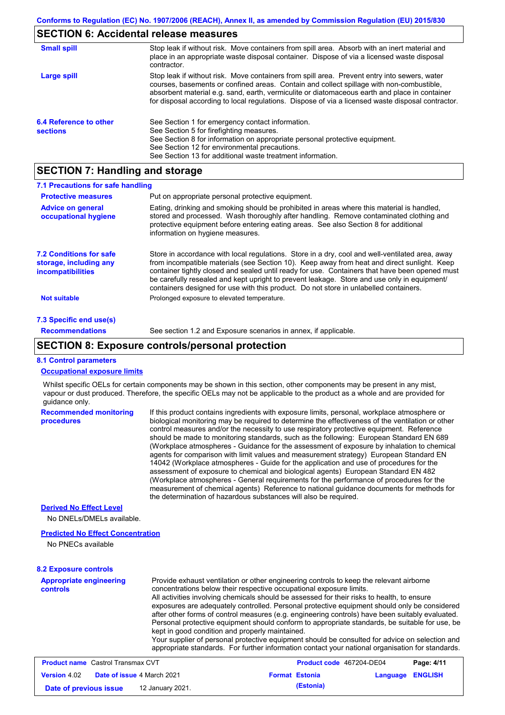# **SECTION 6: Accidental release measures**

| <b>Small spill</b>                        | Stop leak if without risk. Move containers from spill area. Absorb with an inert material and<br>place in an appropriate waste disposal container. Dispose of via a licensed waste disposal<br>contractor.                                                                                                                                                                                     |
|-------------------------------------------|------------------------------------------------------------------------------------------------------------------------------------------------------------------------------------------------------------------------------------------------------------------------------------------------------------------------------------------------------------------------------------------------|
| Large spill                               | Stop leak if without risk. Move containers from spill area. Prevent entry into sewers, water<br>courses, basements or confined areas. Contain and collect spillage with non-combustible,<br>absorbent material e.g. sand, earth, vermiculite or diatomaceous earth and place in container<br>for disposal according to local regulations. Dispose of via a licensed waste disposal contractor. |
| 6.4 Reference to other<br><b>sections</b> | See Section 1 for emergency contact information.<br>See Section 5 for firefighting measures.<br>See Section 8 for information on appropriate personal protective equipment.<br>See Section 12 for environmental precautions.<br>See Section 13 for additional waste treatment information.                                                                                                     |

# **SECTION 7: Handling and storage**

| 7.1 Precautions for safe handling                                                    |                                                                                                                                                                                                                                                                                                                                                                                                                                                                                          |
|--------------------------------------------------------------------------------------|------------------------------------------------------------------------------------------------------------------------------------------------------------------------------------------------------------------------------------------------------------------------------------------------------------------------------------------------------------------------------------------------------------------------------------------------------------------------------------------|
| <b>Protective measures</b>                                                           | Put on appropriate personal protective equipment.                                                                                                                                                                                                                                                                                                                                                                                                                                        |
| <b>Advice on general</b><br>occupational hygiene                                     | Eating, drinking and smoking should be prohibited in areas where this material is handled.<br>stored and processed. Wash thoroughly after handling. Remove contaminated clothing and<br>protective equipment before entering eating areas. See also Section 8 for additional<br>information on hygiene measures.                                                                                                                                                                         |
| <b>7.2 Conditions for safe</b><br>storage, including any<br><i>incompatibilities</i> | Store in accordance with local requiations. Store in a dry, cool and well-ventilated area, away<br>from incompatible materials (see Section 10). Keep away from heat and direct sunlight. Keep<br>container tightly closed and sealed until ready for use. Containers that have been opened must<br>be carefully resealed and kept upright to prevent leakage. Store and use only in equipment/<br>containers designed for use with this product. Do not store in unlabelled containers. |
| <b>Not suitable</b>                                                                  | Prolonged exposure to elevated temperature.                                                                                                                                                                                                                                                                                                                                                                                                                                              |
| 7.3 Specific end use(s)                                                              |                                                                                                                                                                                                                                                                                                                                                                                                                                                                                          |
| <b>Recommendations</b>                                                               | See section 1.2 and Exposure scenarios in annex, if applicable.                                                                                                                                                                                                                                                                                                                                                                                                                          |

### **SECTION 8: Exposure controls/personal protection**

### **8.1 Control parameters**

#### **Occupational exposure limits**

Whilst specific OELs for certain components may be shown in this section, other components may be present in any mist, vapour or dust produced. Therefore, the specific OELs may not be applicable to the product as a whole and are provided for guidance only.

| <b>Recommended monitoring</b><br>procedures | If this product contains ingredients with exposure limits, personal, workplace atmosphere or<br>biological monitoring may be required to determine the effectiveness of the ventilation or other<br>control measures and/or the necessity to use respiratory protective equipment. Reference<br>should be made to monitoring standards, such as the following: European Standard EN 689<br>(Workplace atmospheres - Guidance for the assessment of exposure by inhalation to chemical<br>agents for comparison with limit values and measurement strategy) European Standard EN<br>14042 (Workplace atmospheres - Guide for the application and use of procedures for the<br>assessment of exposure to chemical and biological agents) European Standard EN 482<br>(Workplace atmospheres - General requirements for the performance of procedures for the<br>measurement of chemical agents) Reference to national quidance documents for methods for<br>the determination of hazardous substances will also be required. |
|---------------------------------------------|----------------------------------------------------------------------------------------------------------------------------------------------------------------------------------------------------------------------------------------------------------------------------------------------------------------------------------------------------------------------------------------------------------------------------------------------------------------------------------------------------------------------------------------------------------------------------------------------------------------------------------------------------------------------------------------------------------------------------------------------------------------------------------------------------------------------------------------------------------------------------------------------------------------------------------------------------------------------------------------------------------------------------|
| <b>Derived No Effect Level</b>              |                                                                                                                                                                                                                                                                                                                                                                                                                                                                                                                                                                                                                                                                                                                                                                                                                                                                                                                                                                                                                            |
| No DNELs/DMELs available.                   |                                                                                                                                                                                                                                                                                                                                                                                                                                                                                                                                                                                                                                                                                                                                                                                                                                                                                                                                                                                                                            |
|                                             |                                                                                                                                                                                                                                                                                                                                                                                                                                                                                                                                                                                                                                                                                                                                                                                                                                                                                                                                                                                                                            |

### **Predicted No Effect Concentration**

No PNECs available

#### **8.2 Exposure controls**

| <b>Appropriate engineering</b><br><b>controls</b> | Provide exhaust ventilation or other engineering controls to keep the relevant airborne<br>concentrations below their respective occupational exposure limits.<br>All activities involving chemicals should be assessed for their risks to health, to ensure<br>exposures are adequately controlled. Personal protective equipment should only be considered<br>after other forms of control measures (e.g. engineering controls) have been suitably evaluated.<br>Personal protective equipment should conform to appropriate standards, be suitable for use, be<br>kept in good condition and properly maintained.<br>Your supplier of personal protective equipment should be consulted for advice on selection and<br>appropriate standards. For further information contact your national organisation for standards. |
|---------------------------------------------------|----------------------------------------------------------------------------------------------------------------------------------------------------------------------------------------------------------------------------------------------------------------------------------------------------------------------------------------------------------------------------------------------------------------------------------------------------------------------------------------------------------------------------------------------------------------------------------------------------------------------------------------------------------------------------------------------------------------------------------------------------------------------------------------------------------------------------|
|---------------------------------------------------|----------------------------------------------------------------------------------------------------------------------------------------------------------------------------------------------------------------------------------------------------------------------------------------------------------------------------------------------------------------------------------------------------------------------------------------------------------------------------------------------------------------------------------------------------------------------------------------------------------------------------------------------------------------------------------------------------------------------------------------------------------------------------------------------------------------------------|

| <b>Product name</b> Castrol Transmax CVT                 |  |  | Product code 467204-DE04 |                  | Page: 4/11 |
|----------------------------------------------------------|--|--|--------------------------|------------------|------------|
| <b>Date of issue 4 March 2021</b><br><b>Version 4.02</b> |  |  | <b>Format Estonia</b>    | Language ENGLISH |            |
| Date of previous issue<br>12 January 2021.               |  |  | (Estonia)                |                  |            |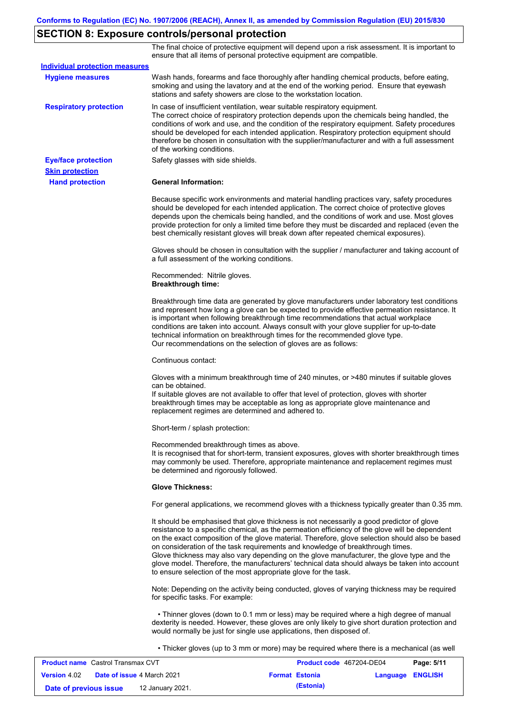# **SECTION 8: Exposure controls/personal protection**

The final choice of protective equipment will depend upon a risk assessment. It is important to ensure that all items of personal protective equipment are compatible.

| <b>Individual protection measures</b> |                                                                                                                                                                                                                                                                                                                                                                                                                                                                                                                                                                                                                                                   |
|---------------------------------------|---------------------------------------------------------------------------------------------------------------------------------------------------------------------------------------------------------------------------------------------------------------------------------------------------------------------------------------------------------------------------------------------------------------------------------------------------------------------------------------------------------------------------------------------------------------------------------------------------------------------------------------------------|
| <b>Hygiene measures</b>               | Wash hands, forearms and face thoroughly after handling chemical products, before eating,<br>smoking and using the lavatory and at the end of the working period. Ensure that eyewash<br>stations and safety showers are close to the workstation location.                                                                                                                                                                                                                                                                                                                                                                                       |
| <b>Respiratory protection</b>         | In case of insufficient ventilation, wear suitable respiratory equipment.<br>The correct choice of respiratory protection depends upon the chemicals being handled, the<br>conditions of work and use, and the condition of the respiratory equipment. Safety procedures<br>should be developed for each intended application. Respiratory protection equipment should<br>therefore be chosen in consultation with the supplier/manufacturer and with a full assessment<br>of the working conditions.                                                                                                                                             |
| <b>Eye/face protection</b>            | Safety glasses with side shields.                                                                                                                                                                                                                                                                                                                                                                                                                                                                                                                                                                                                                 |
| <b>Skin protection</b>                |                                                                                                                                                                                                                                                                                                                                                                                                                                                                                                                                                                                                                                                   |
| <b>Hand protection</b>                | <b>General Information:</b>                                                                                                                                                                                                                                                                                                                                                                                                                                                                                                                                                                                                                       |
|                                       | Because specific work environments and material handling practices vary, safety procedures<br>should be developed for each intended application. The correct choice of protective gloves<br>depends upon the chemicals being handled, and the conditions of work and use. Most gloves<br>provide protection for only a limited time before they must be discarded and replaced (even the<br>best chemically resistant gloves will break down after repeated chemical exposures).                                                                                                                                                                  |
|                                       | Gloves should be chosen in consultation with the supplier / manufacturer and taking account of<br>a full assessment of the working conditions.                                                                                                                                                                                                                                                                                                                                                                                                                                                                                                    |
|                                       | Recommended: Nitrile gloves.<br><b>Breakthrough time:</b>                                                                                                                                                                                                                                                                                                                                                                                                                                                                                                                                                                                         |
|                                       | Breakthrough time data are generated by glove manufacturers under laboratory test conditions<br>and represent how long a glove can be expected to provide effective permeation resistance. It<br>is important when following breakthrough time recommendations that actual workplace<br>conditions are taken into account. Always consult with your glove supplier for up-to-date<br>technical information on breakthrough times for the recommended glove type.<br>Our recommendations on the selection of gloves are as follows:                                                                                                                |
|                                       | Continuous contact:                                                                                                                                                                                                                                                                                                                                                                                                                                                                                                                                                                                                                               |
|                                       | Gloves with a minimum breakthrough time of 240 minutes, or >480 minutes if suitable gloves<br>can be obtained.<br>If suitable gloves are not available to offer that level of protection, gloves with shorter<br>breakthrough times may be acceptable as long as appropriate glove maintenance and<br>replacement regimes are determined and adhered to.                                                                                                                                                                                                                                                                                          |
|                                       | Short-term / splash protection:                                                                                                                                                                                                                                                                                                                                                                                                                                                                                                                                                                                                                   |
|                                       | Recommended breakthrough times as above.<br>It is recognised that for short-term, transient exposures, gloves with shorter breakthrough times<br>may commonly be used. Therefore, appropriate maintenance and replacement regimes must<br>be determined and rigorously followed.                                                                                                                                                                                                                                                                                                                                                                  |
|                                       | <b>Glove Thickness:</b>                                                                                                                                                                                                                                                                                                                                                                                                                                                                                                                                                                                                                           |
|                                       | For general applications, we recommend gloves with a thickness typically greater than 0.35 mm.                                                                                                                                                                                                                                                                                                                                                                                                                                                                                                                                                    |
|                                       | It should be emphasised that glove thickness is not necessarily a good predictor of glove<br>resistance to a specific chemical, as the permeation efficiency of the glove will be dependent<br>on the exact composition of the glove material. Therefore, glove selection should also be based<br>on consideration of the task requirements and knowledge of breakthrough times.<br>Glove thickness may also vary depending on the glove manufacturer, the glove type and the<br>glove model. Therefore, the manufacturers' technical data should always be taken into account<br>to ensure selection of the most appropriate glove for the task. |
|                                       | Note: Depending on the activity being conducted, gloves of varying thickness may be required<br>for specific tasks. For example:                                                                                                                                                                                                                                                                                                                                                                                                                                                                                                                  |
|                                       | • Thinner gloves (down to 0.1 mm or less) may be required where a high degree of manual<br>dexterity is needed. However, these gloves are only likely to give short duration protection and<br>would normally be just for single use applications, then disposed of.                                                                                                                                                                                                                                                                                                                                                                              |
|                                       | • Thicker gloves (up to 3 mm or more) may be required where there is a mechanical (as well                                                                                                                                                                                                                                                                                                                                                                                                                                                                                                                                                        |

| <b>Product name</b> Castrol Transmax CVT                 |  | <b>Product code</b> 467204-DE04 |                       | Page: 5/11              |  |
|----------------------------------------------------------|--|---------------------------------|-----------------------|-------------------------|--|
| <b>Version 4.02</b><br><b>Date of issue 4 March 2021</b> |  |                                 | <b>Format Estonia</b> | <b>Language ENGLISH</b> |  |
| 12 January 2021.<br>Date of previous issue               |  |                                 | (Estonia)             |                         |  |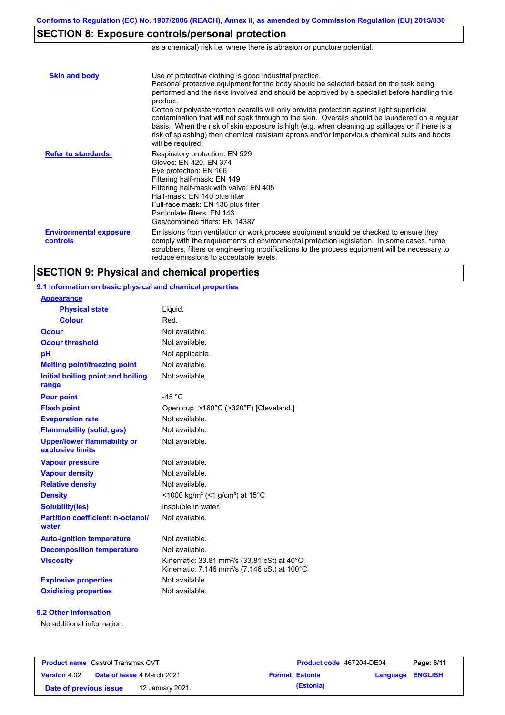# **SECTION 8: Exposure controls/personal protection**

as a chemical) risk i.e. where there is abrasion or puncture potential.

| <b>Skin and body</b>                      | Use of protective clothing is good industrial practice.<br>Personal protective equipment for the body should be selected based on the task being<br>performed and the risks involved and should be approved by a specialist before handling this<br>product.<br>Cotton or polyester/cotton overalls will only provide protection against light superficial<br>contamination that will not soak through to the skin. Overalls should be laundered on a regular<br>basis. When the risk of skin exposure is high (e.g. when cleaning up spillages or if there is a<br>risk of splashing) then chemical resistant aprons and/or impervious chemical suits and boots<br>will be required. |
|-------------------------------------------|---------------------------------------------------------------------------------------------------------------------------------------------------------------------------------------------------------------------------------------------------------------------------------------------------------------------------------------------------------------------------------------------------------------------------------------------------------------------------------------------------------------------------------------------------------------------------------------------------------------------------------------------------------------------------------------|
| <b>Refer to standards:</b>                | Respiratory protection: EN 529<br>Gloves: EN 420, EN 374<br>Eye protection: EN 166<br>Filtering half-mask: EN 149<br>Filtering half-mask with valve: EN 405<br>Half-mask: EN 140 plus filter<br>Full-face mask: EN 136 plus filter<br>Particulate filters: EN 143<br>Gas/combined filters: EN 14387                                                                                                                                                                                                                                                                                                                                                                                   |
| <b>Environmental exposure</b><br>controls | Emissions from ventilation or work process equipment should be checked to ensure they<br>comply with the requirements of environmental protection legislation. In some cases, fume<br>scrubbers, filters or engineering modifications to the process equipment will be necessary to<br>reduce emissions to acceptable levels.                                                                                                                                                                                                                                                                                                                                                         |

## **SECTION 9: Physical and chemical properties**

**9.1 Information on basic physical and chemical properties**

| <b>Appearance</b>                                      |                                                                                                                                           |
|--------------------------------------------------------|-------------------------------------------------------------------------------------------------------------------------------------------|
| <b>Physical state</b>                                  | Liguid.                                                                                                                                   |
| <b>Colour</b>                                          | Red.                                                                                                                                      |
| <b>Odour</b>                                           | Not available.                                                                                                                            |
| <b>Odour threshold</b>                                 | Not available.                                                                                                                            |
| pH                                                     | Not applicable.                                                                                                                           |
| <b>Melting point/freezing point</b>                    | Not available.                                                                                                                            |
| Initial boiling point and boiling<br>range             | Not available.                                                                                                                            |
| <b>Pour point</b>                                      | $-45 °C$                                                                                                                                  |
| <b>Flash point</b>                                     | Open cup: >160°C (>320°F) [Cleveland.]                                                                                                    |
| <b>Evaporation rate</b>                                | Not available.                                                                                                                            |
| <b>Flammability (solid, gas)</b>                       | Not available.                                                                                                                            |
| <b>Upper/lower flammability or</b><br>explosive limits | Not available.                                                                                                                            |
| <b>Vapour pressure</b>                                 | Not available.                                                                                                                            |
| <b>Vapour density</b>                                  | Not available.                                                                                                                            |
| <b>Relative density</b>                                | Not available.                                                                                                                            |
| <b>Density</b>                                         | <1000 kg/m <sup>3</sup> (<1 g/cm <sup>3</sup> ) at 15 <sup>°</sup> C                                                                      |
| <b>Solubility(ies)</b>                                 | insoluble in water.                                                                                                                       |
| <b>Partition coefficient: n-octanol/</b><br>water      | Not available.                                                                                                                            |
| <b>Auto-ignition temperature</b>                       | Not available.                                                                                                                            |
| <b>Decomposition temperature</b>                       | Not available.                                                                                                                            |
| <b>Viscosity</b>                                       | Kinematic: $33.81$ mm <sup>2</sup> /s $(33.81 \text{ cSt})$ at $40^{\circ}$ C<br>Kinematic: 7.146 mm <sup>2</sup> /s (7.146 cSt) at 100°C |
| <b>Explosive properties</b>                            | Not available.                                                                                                                            |
| <b>Oxidising properties</b>                            | Not available.                                                                                                                            |

### **9.2 Other information**

No additional information.

| <b>Product name</b> Castrol Transmax CVT                 |  | <b>Product code</b> 467204-DE04 |                       | Page: 6/11              |  |  |
|----------------------------------------------------------|--|---------------------------------|-----------------------|-------------------------|--|--|
| <b>Date of issue 4 March 2021</b><br><b>Version</b> 4.02 |  |                                 | <b>Format Estonia</b> | <b>Language ENGLISH</b> |  |  |
| Date of previous issue                                   |  | 12 January 2021.                |                       | (Estonia)               |  |  |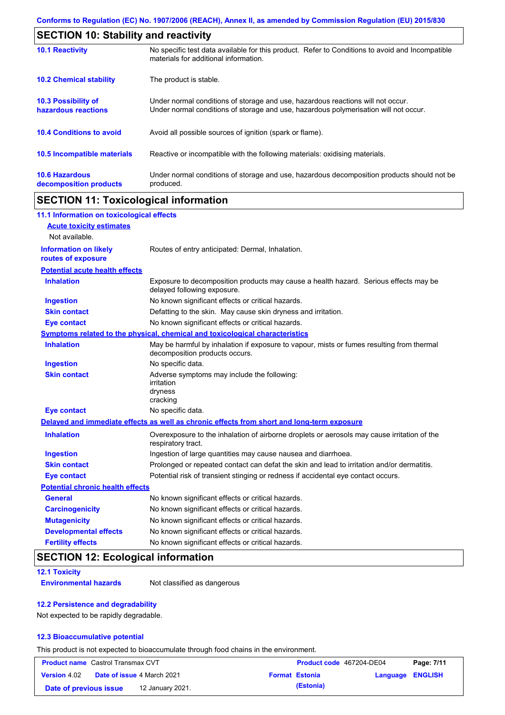| <b>SECTION 10: Stability and reactivity</b>       |                                                                                                                                                                         |
|---------------------------------------------------|-------------------------------------------------------------------------------------------------------------------------------------------------------------------------|
| <b>10.1 Reactivity</b>                            | No specific test data available for this product. Refer to Conditions to avoid and Incompatible<br>materials for additional information.                                |
| <b>10.2 Chemical stability</b>                    | The product is stable.                                                                                                                                                  |
| <b>10.3 Possibility of</b><br>hazardous reactions | Under normal conditions of storage and use, hazardous reactions will not occur.<br>Under normal conditions of storage and use, hazardous polymerisation will not occur. |
| <b>10.4 Conditions to avoid</b>                   | Avoid all possible sources of ignition (spark or flame).                                                                                                                |
| <b>10.5 Incompatible materials</b>                | Reactive or incompatible with the following materials: oxidising materials.                                                                                             |
| <b>10.6 Hazardous</b><br>decomposition products   | Under normal conditions of storage and use, hazardous decomposition products should not be<br>produced.                                                                 |

## **SECTION 11: Toxicological information**

| 11.1 Information on toxicological effects          |                                                                                                                             |
|----------------------------------------------------|-----------------------------------------------------------------------------------------------------------------------------|
| <b>Acute toxicity estimates</b>                    |                                                                                                                             |
| Not available.                                     |                                                                                                                             |
| <b>Information on likely</b><br>routes of exposure | Routes of entry anticipated: Dermal, Inhalation.                                                                            |
| <b>Potential acute health effects</b>              |                                                                                                                             |
| <b>Inhalation</b>                                  | Exposure to decomposition products may cause a health hazard. Serious effects may be<br>delayed following exposure.         |
| <b>Ingestion</b>                                   | No known significant effects or critical hazards.                                                                           |
| <b>Skin contact</b>                                | Defatting to the skin. May cause skin dryness and irritation.                                                               |
| <b>Eye contact</b>                                 | No known significant effects or critical hazards.                                                                           |
|                                                    | Symptoms related to the physical, chemical and toxicological characteristics                                                |
| <b>Inhalation</b>                                  | May be harmful by inhalation if exposure to vapour, mists or fumes resulting from thermal<br>decomposition products occurs. |
| <b>Ingestion</b>                                   | No specific data.                                                                                                           |
| <b>Skin contact</b>                                | Adverse symptoms may include the following:<br>irritation<br>dryness<br>cracking                                            |
| <b>Eye contact</b>                                 | No specific data.                                                                                                           |
|                                                    | Delayed and immediate effects as well as chronic effects from short and long-term exposure                                  |
| <b>Inhalation</b>                                  | Overexposure to the inhalation of airborne droplets or aerosols may cause irritation of the<br>respiratory tract.           |
| <b>Ingestion</b>                                   | Ingestion of large quantities may cause nausea and diarrhoea.                                                               |
| <b>Skin contact</b>                                | Prolonged or repeated contact can defat the skin and lead to irritation and/or dermatitis.                                  |
| <b>Eye contact</b>                                 | Potential risk of transient stinging or redness if accidental eye contact occurs.                                           |
| <b>Potential chronic health effects</b>            |                                                                                                                             |
| <b>General</b>                                     | No known significant effects or critical hazards.                                                                           |
| <b>Carcinogenicity</b>                             | No known significant effects or critical hazards.                                                                           |
| <b>Mutagenicity</b>                                | No known significant effects or critical hazards.                                                                           |
| <b>Developmental effects</b>                       | No known significant effects or critical hazards.                                                                           |
| <b>Fertility effects</b>                           | No known significant effects or critical hazards.                                                                           |

# **SECTION 12: Ecological information**

### **12.1 Toxicity**

**Environmental hazards** Not classified as dangerous

### **12.2 Persistence and degradability**

Not expected to be rapidly degradable.

### **12.3 Bioaccumulative potential**

This product is not expected to bioaccumulate through food chains in the environment.

| <b>Product name</b> Castrol Transmax CVT                 |  |  | Product code 467204-DE04 |                  | Page: 7/11 |  |
|----------------------------------------------------------|--|--|--------------------------|------------------|------------|--|
| <b>Date of issue 4 March 2021</b><br><b>Version 4.02</b> |  |  | <b>Format Estonia</b>    | Language ENGLISH |            |  |
| Date of previous issue<br>12 January 2021.               |  |  |                          | (Estonia)        |            |  |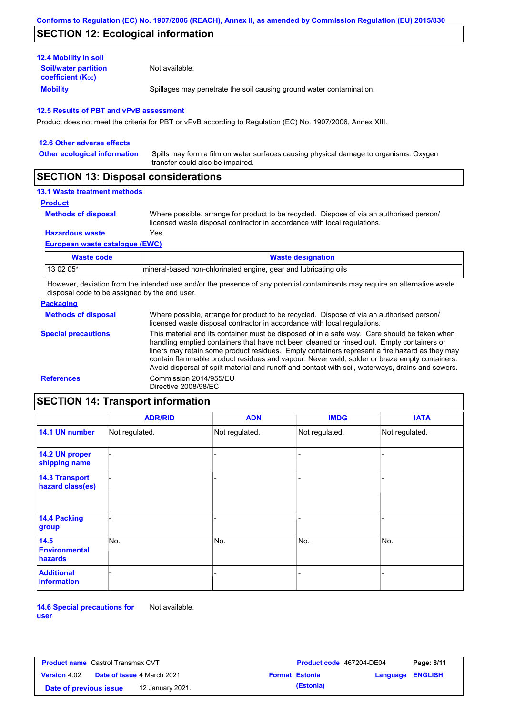## **SECTION 12: Ecological information**

| <b>12.4 Mobility in soil</b>                            |                                                                      |
|---------------------------------------------------------|----------------------------------------------------------------------|
| <b>Soil/water partition</b><br><b>coefficient (Koc)</b> | Not available.                                                       |
| <b>Mobility</b>                                         | Spillages may penetrate the soil causing ground water contamination. |

#### **12.5 Results of PBT and vPvB assessment**

Product does not meet the criteria for PBT or vPvB according to Regulation (EC) No. 1907/2006, Annex XIII.

| 12.6 Other adverse effects          |                                                                                                                           |
|-------------------------------------|---------------------------------------------------------------------------------------------------------------------------|
| <b>Other ecological information</b> | Spills may form a film on water surfaces causing physical damage to organisms. Oxygen<br>transfer could also be impaired. |
|                                     |                                                                                                                           |

### **SECTION 13: Disposal considerations**

### **13.1 Waste treatment methods**

**Product**

```
Methods of disposal
```
Where possible, arrange for product to be recycled. Dispose of via an authorised person/ licensed waste disposal contractor in accordance with local regulations.

**Hazardous waste** Yes.

#### **European waste catalogue (EWC)**

| Waste code | <b>Waste designation</b>                                         |
|------------|------------------------------------------------------------------|
| 13 02 05*  | Imineral-based non-chlorinated engine, gear and lubricating oils |

However, deviation from the intended use and/or the presence of any potential contaminants may require an alternative waste disposal code to be assigned by the end user.

### **Packaging**

| <b>Methods of disposal</b> | Where possible, arrange for product to be recycled. Dispose of via an authorised person/<br>licensed waste disposal contractor in accordance with local regulations.                                                                                                                                                                                                                                                                                                                            |
|----------------------------|-------------------------------------------------------------------------------------------------------------------------------------------------------------------------------------------------------------------------------------------------------------------------------------------------------------------------------------------------------------------------------------------------------------------------------------------------------------------------------------------------|
| <b>Special precautions</b> | This material and its container must be disposed of in a safe way. Care should be taken when<br>handling emptied containers that have not been cleaned or rinsed out. Empty containers or<br>liners may retain some product residues. Empty containers represent a fire hazard as they may<br>contain flammable product residues and vapour. Never weld, solder or braze empty containers.<br>Avoid dispersal of spilt material and runoff and contact with soil, waterways, drains and sewers. |
| <b>References</b>          | Commission 2014/955/EU<br>Directive 2008/98/EC                                                                                                                                                                                                                                                                                                                                                                                                                                                  |

# **SECTION 14: Transport information**

|                                           | <b>ADR/RID</b> | <b>ADN</b>     | <b>IMDG</b>    | <b>IATA</b>    |
|-------------------------------------------|----------------|----------------|----------------|----------------|
| 14.1 UN number                            | Not regulated. | Not regulated. | Not regulated. | Not regulated. |
| 14.2 UN proper<br>shipping name           |                |                |                |                |
| <b>14.3 Transport</b><br>hazard class(es) |                |                |                |                |
| 14.4 Packing<br>group                     |                |                | ۰              |                |
| 14.5<br><b>Environmental</b><br>hazards   | No.            | No.            | No.            | No.            |
| <b>Additional</b><br>information          |                |                | -              |                |

**14.6 Special precautions for user** Not available.

| <b>Product name</b> Castrol Transmax CVT   |                                   |  | <b>Product code</b> 467204-DE04 | Page: 8/11            |                         |  |
|--------------------------------------------|-----------------------------------|--|---------------------------------|-----------------------|-------------------------|--|
| <b>Version 4.02</b>                        | <b>Date of issue 4 March 2021</b> |  |                                 | <b>Format Estonia</b> | <b>Language ENGLISH</b> |  |
| Date of previous issue<br>12 January 2021. |                                   |  | (Estonia)                       |                       |                         |  |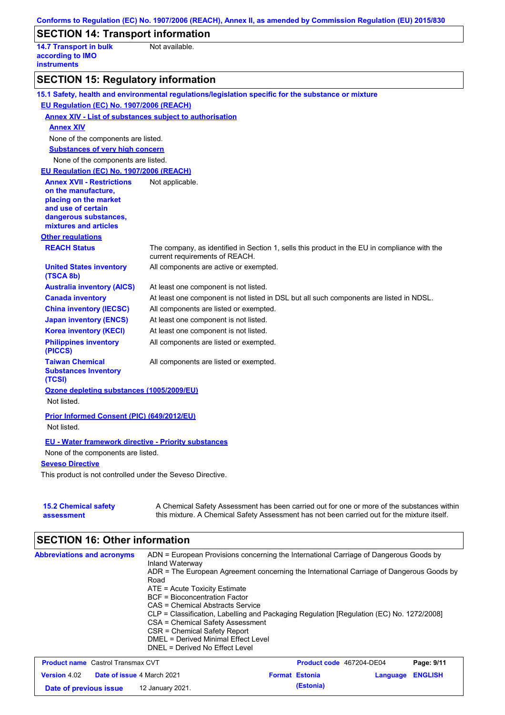|                                                                         | Conforms to Regulation (EC) No. 1907/2006 (REACH), Annex II, as amended by Commission Regulation (EU) 2015/830                                                                            |
|-------------------------------------------------------------------------|-------------------------------------------------------------------------------------------------------------------------------------------------------------------------------------------|
| <b>SECTION 14: Transport information</b>                                |                                                                                                                                                                                           |
| <b>14.7 Transport in bulk</b><br>according to IMO<br><b>instruments</b> | Not available.                                                                                                                                                                            |
| <b>SECTION 15: Regulatory information</b>                               |                                                                                                                                                                                           |
|                                                                         | 15.1 Safety, health and environmental regulations/legislation specific for the substance or mixture                                                                                       |
| EU Regulation (EC) No. 1907/2006 (REACH)                                |                                                                                                                                                                                           |
| <b>Annex XIV - List of substances subject to authorisation</b>          |                                                                                                                                                                                           |
| <b>Annex XIV</b>                                                        |                                                                                                                                                                                           |
| None of the components are listed.                                      |                                                                                                                                                                                           |
| <b>Substances of very high concern</b>                                  |                                                                                                                                                                                           |
| None of the components are listed.                                      |                                                                                                                                                                                           |
| EU Regulation (EC) No. 1907/2006 (REACH)                                |                                                                                                                                                                                           |
| <b>Annex XVII - Restrictions</b>                                        | Not applicable.                                                                                                                                                                           |
| on the manufacture,<br>placing on the market                            |                                                                                                                                                                                           |
| and use of certain                                                      |                                                                                                                                                                                           |
| dangerous substances,                                                   |                                                                                                                                                                                           |
| mixtures and articles                                                   |                                                                                                                                                                                           |
| <b>Other regulations</b>                                                |                                                                                                                                                                                           |
| <b>REACH Status</b>                                                     | The company, as identified in Section 1, sells this product in the EU in compliance with the<br>current requirements of REACH.                                                            |
| <b>United States inventory</b><br>(TSCA 8b)                             | All components are active or exempted.                                                                                                                                                    |
| <b>Australia inventory (AICS)</b>                                       | At least one component is not listed.                                                                                                                                                     |
| <b>Canada inventory</b>                                                 | At least one component is not listed in DSL but all such components are listed in NDSL.                                                                                                   |
| <b>China inventory (IECSC)</b>                                          | All components are listed or exempted.                                                                                                                                                    |
| <b>Japan inventory (ENCS)</b>                                           | At least one component is not listed.                                                                                                                                                     |
| <b>Korea inventory (KECI)</b>                                           | At least one component is not listed.                                                                                                                                                     |
| <b>Philippines inventory</b><br>(PICCS)                                 | All components are listed or exempted.                                                                                                                                                    |
| <b>Taiwan Chemical</b><br><b>Substances Inventory</b><br>(TCSI)         | All components are listed or exempted.                                                                                                                                                    |
| Ozone depleting substances (1005/2009/EU)                               |                                                                                                                                                                                           |
| Not listed.                                                             |                                                                                                                                                                                           |
| Prior Informed Consent (PIC) (649/2012/EU)<br>Not listed.               |                                                                                                                                                                                           |
| <b>EU - Water framework directive - Priority substances</b>             |                                                                                                                                                                                           |
| None of the components are listed.                                      |                                                                                                                                                                                           |
| <b>Seveso Directive</b>                                                 |                                                                                                                                                                                           |
| This product is not controlled under the Seveso Directive.              |                                                                                                                                                                                           |
| <b>15.2 Chemical safety</b><br>assessment                               | A Chemical Safety Assessment has been carried out for one or more of the substances within<br>this mixture. A Chemical Safety Assessment has not been carried out for the mixture itself. |

# **SECTION 16: Other information**

| <b>Abbreviations and acronyms</b>        | ADN = European Provisions concerning the International Carriage of Dangerous Goods by<br>Inland Waterway<br>ADR = The European Agreement concerning the International Carriage of Dangerous Goods by<br>Road<br>ATE = Acute Toxicity Estimate<br>BCF = Bioconcentration Factor<br>CAS = Chemical Abstracts Service<br>CLP = Classification, Labelling and Packaging Regulation [Regulation (EC) No. 1272/2008]<br>CSA = Chemical Safety Assessment<br>CSR = Chemical Safety Report<br>DMEL = Derived Minimal Effect Level |                                |                   |
|------------------------------------------|---------------------------------------------------------------------------------------------------------------------------------------------------------------------------------------------------------------------------------------------------------------------------------------------------------------------------------------------------------------------------------------------------------------------------------------------------------------------------------------------------------------------------|--------------------------------|-------------------|
|                                          | DNEL = Derived No Effect Level                                                                                                                                                                                                                                                                                                                                                                                                                                                                                            |                                |                   |
| <b>Brodust name</b> Control Transmay CVT |                                                                                                                                                                                                                                                                                                                                                                                                                                                                                                                           | <b>Draduat and AG7004 DE04</b> | <b>Dogo: 0/44</b> |

| <b>Product name</b> Castrol Transmax CVT                 |  |                  | <b>Product code</b> 467204-DE04 |                         | Page: 9/11 |  |
|----------------------------------------------------------|--|------------------|---------------------------------|-------------------------|------------|--|
| <b>Version</b> 4.02<br><b>Date of issue 4 March 2021</b> |  |                  | <b>Format Estonia</b>           | <b>Language ENGLISH</b> |            |  |
| Date of previous issue                                   |  | 12 January 2021. |                                 | (Estonia)               |            |  |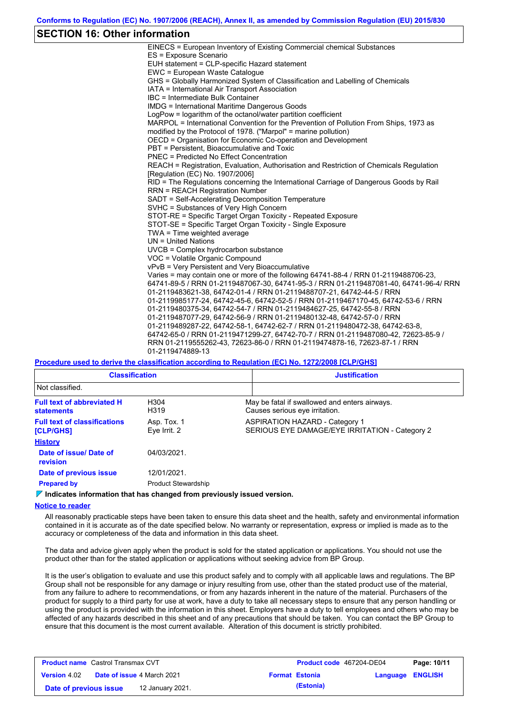### **SECTION 16: Other information**

| EINECS = European Inventory of Existing Commercial chemical Substances                  |
|-----------------------------------------------------------------------------------------|
| ES = Exposure Scenario                                                                  |
| EUH statement = CLP-specific Hazard statement                                           |
| EWC = European Waste Catalogue                                                          |
| GHS = Globally Harmonized System of Classification and Labelling of Chemicals           |
| IATA = International Air Transport Association                                          |
| IBC = Intermediate Bulk Container                                                       |
| IMDG = International Maritime Dangerous Goods                                           |
| LogPow = logarithm of the octanol/water partition coefficient                           |
| MARPOL = International Convention for the Prevention of Pollution From Ships, 1973 as   |
| modified by the Protocol of 1978. ("Marpol" = marine pollution)                         |
| OECD = Organisation for Economic Co-operation and Development                           |
| PBT = Persistent, Bioaccumulative and Toxic                                             |
| <b>PNEC = Predicted No Effect Concentration</b>                                         |
| REACH = Registration, Evaluation, Authorisation and Restriction of Chemicals Regulation |
| [Requlation (EC) No. 1907/2006]                                                         |
| RID = The Regulations concerning the International Carriage of Dangerous Goods by Rail  |
| <b>RRN = REACH Registration Number</b>                                                  |
| SADT = Self-Accelerating Decomposition Temperature                                      |
| SVHC = Substances of Very High Concern                                                  |
| STOT-RE = Specific Target Organ Toxicity - Repeated Exposure                            |
| STOT-SE = Specific Target Organ Toxicity - Single Exposure                              |
| TWA = Time weighted average                                                             |
| $UN = United Nations$                                                                   |
| $UVCB = Complex\;hydrocarbon\; substance$                                               |
| VOC = Volatile Organic Compound                                                         |
| vPvB = Very Persistent and Very Bioaccumulative                                         |
| Varies = may contain one or more of the following 64741-88-4 / RRN 01-2119488706-23,    |
| 64741-89-5 / RRN 01-2119487067-30, 64741-95-3 / RRN 01-2119487081-40, 64741-96-4/ RRN   |
| 01-2119483621-38, 64742-01-4 / RRN 01-2119488707-21, 64742-44-5 / RRN                   |
| 01-2119985177-24, 64742-45-6, 64742-52-5 / RRN 01-2119467170-45, 64742-53-6 / RRN       |
| 01-2119480375-34, 64742-54-7 / RRN 01-2119484627-25, 64742-55-8 / RRN                   |
| 01-2119487077-29, 64742-56-9 / RRN 01-2119480132-48, 64742-57-0 / RRN                   |
| 01-2119489287-22, 64742-58-1, 64742-62-7 / RRN 01-2119480472-38, 64742-63-8,            |
| 64742-65-0 / RRN 01-2119471299-27, 64742-70-7 / RRN 01-2119487080-42, 72623-85-9 /      |
| RRN 01-2119555262-43, 72623-86-0 / RRN 01-2119474878-16, 72623-87-1 / RRN               |
| 01-2119474889-13                                                                        |
|                                                                                         |

**Procedure used to derive the classification according to Regulation (EC) No. 1272/2008 [CLP/GHS]**

| <b>Classification</b>                                   |                             | <b>Justification</b>                                                                    |
|---------------------------------------------------------|-----------------------------|-----------------------------------------------------------------------------------------|
| Not classified.                                         |                             |                                                                                         |
| <b>Full text of abbreviated H</b><br><b>statements</b>  | H304<br>H319                | May be fatal if swallowed and enters airways.<br>Causes serious eye irritation.         |
| <b>Full text of classifications</b><br><b>[CLP/GHS]</b> | Asp. Tox. 1<br>Eye Irrit. 2 | <b>ASPIRATION HAZARD - Category 1</b><br>SERIOUS EYE DAMAGE/EYE IRRITATION - Category 2 |
| <b>History</b>                                          |                             |                                                                                         |
| Date of issue/ Date of<br>revision                      | 04/03/2021.                 |                                                                                         |
| Date of previous issue                                  | 12/01/2021.                 |                                                                                         |
| <b>Prepared by</b>                                      | <b>Product Stewardship</b>  |                                                                                         |

**Indicates information that has changed from previously issued version.**

#### **Notice to reader**

All reasonably practicable steps have been taken to ensure this data sheet and the health, safety and environmental information contained in it is accurate as of the date specified below. No warranty or representation, express or implied is made as to the accuracy or completeness of the data and information in this data sheet.

The data and advice given apply when the product is sold for the stated application or applications. You should not use the product other than for the stated application or applications without seeking advice from BP Group.

It is the user's obligation to evaluate and use this product safely and to comply with all applicable laws and regulations. The BP Group shall not be responsible for any damage or injury resulting from use, other than the stated product use of the material, from any failure to adhere to recommendations, or from any hazards inherent in the nature of the material. Purchasers of the product for supply to a third party for use at work, have a duty to take all necessary steps to ensure that any person handling or using the product is provided with the information in this sheet. Employers have a duty to tell employees and others who may be affected of any hazards described in this sheet and of any precautions that should be taken. You can contact the BP Group to ensure that this document is the most current available. Alteration of this document is strictly prohibited.

| <b>Product name</b> Castrol Transmax CVT |  | <b>Product code</b> 467204-DE04   |  | Page: 10/11           |                         |  |
|------------------------------------------|--|-----------------------------------|--|-----------------------|-------------------------|--|
| <b>Version</b> 4.02                      |  | <b>Date of issue 4 March 2021</b> |  | <b>Format Estonia</b> | <b>Language ENGLISH</b> |  |
| Date of previous issue                   |  | 12 January 2021.                  |  | (Estonia)             |                         |  |